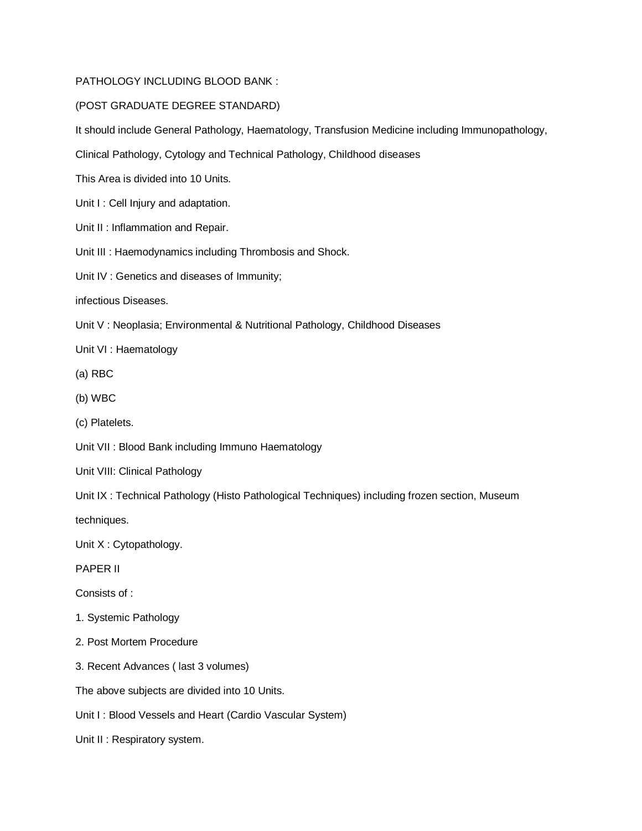## PATHOLOGY INCLUDING BLOOD BANK :

## (POST GRADUATE DEGREE STANDARD)

It should include General Pathology, Haematology, Transfusion Medicine including Immunopathology,

Clinical Pathology, Cytology and Technical Pathology, Childhood diseases

This Area is divided into 10 Units.

Unit I : Cell Injury and adaptation.

Unit II : Inflammation and Repair.

Unit III : Haemodynamics including Thrombosis and Shock.

Unit IV : Genetics and diseases of Immunity;

infectious Diseases.

Unit V : Neoplasia; Environmental & Nutritional Pathology, Childhood Diseases

Unit VI : Haematology

(a) RBC

(b) WBC

(c) Platelets.

Unit VII : Blood Bank including Immuno Haematology

Unit VIII: Clinical Pathology

Unit IX : Technical Pathology (Histo Pathological Techniques) including frozen section, Museum

techniques.

Unit X : Cytopathology.

PAPER II

Consists of :

- 1. Systemic Pathology
- 2. Post Mortem Procedure
- 3. Recent Advances ( last 3 volumes)

The above subjects are divided into 10 Units.

Unit I: Blood Vessels and Heart (Cardio Vascular System)

Unit II : Respiratory system.